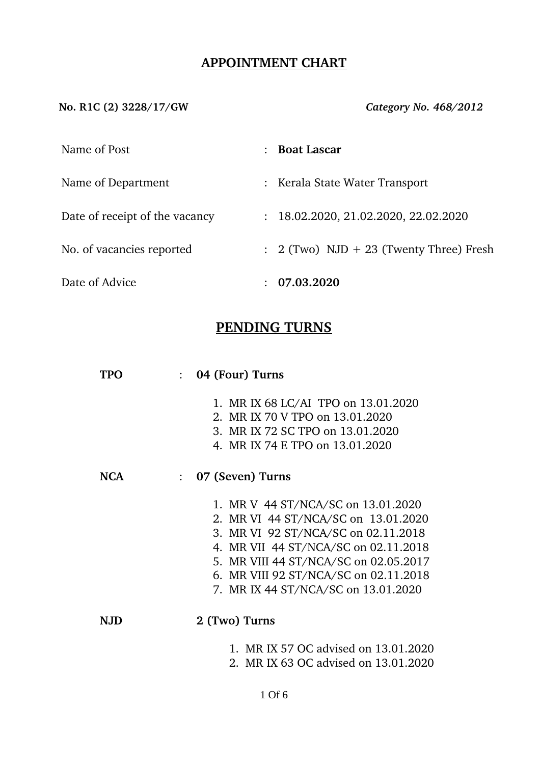## **APPOINTMENT CHART**

**No. R1C (2) 3228/17/GW** *Category No. 468/2012*

| Name of Post                   | <b>Boat Lascar</b>                                 |
|--------------------------------|----------------------------------------------------|
| Name of Department             | : Kerala State Water Transport                     |
| Date of receipt of the vacancy | : 18.02.2020, 21.02.2020, 22.02.2020               |
| No. of vacancies reported      | $\therefore$ 2 (Two) NJD + 23 (Twenty Three) Fresh |
| Date of Advice                 | 07.03.2020                                         |

# **PENDING TURNS**

| TPO        | 04 (Four) Turns<br>$\mathcal{L}$                                                                                                                                                                                                                                                  |
|------------|-----------------------------------------------------------------------------------------------------------------------------------------------------------------------------------------------------------------------------------------------------------------------------------|
|            | 1. MR IX 68 LC/AI TPO on 13.01.2020<br>2. MR IX 70 V TPO on 13.01.2020<br>3. MR IX 72 SC TPO on 13.01.2020<br>4. MR IX 74 E TPO on 13.01.2020                                                                                                                                     |
| <b>NCA</b> | 07 (Seven) Turns<br>$\ddot{\cdot}$                                                                                                                                                                                                                                                |
|            | 1. MR V 44 ST/NCA/SC on 13.01.2020<br>2. MR VI 44 ST/NCA/SC on 13.01.2020<br>3. MR VI 92 ST/NCA/SC on 02.11.2018<br>4. MR VII 44 ST/NCA/SC on 02.11.2018<br>5. MR VIII 44 ST/NCA/SC on 02.05.2017<br>6. MR VIII 92 ST/NCA/SC on 02.11.2018<br>7. MR IX 44 ST/NCA/SC on 13.01.2020 |
| N.JD       | 2 (Two) Turns                                                                                                                                                                                                                                                                     |
|            | 1. MR IX 57 OC advised on 13.01.2020<br>2. MR IX 63 OC advised on 13.01.2020                                                                                                                                                                                                      |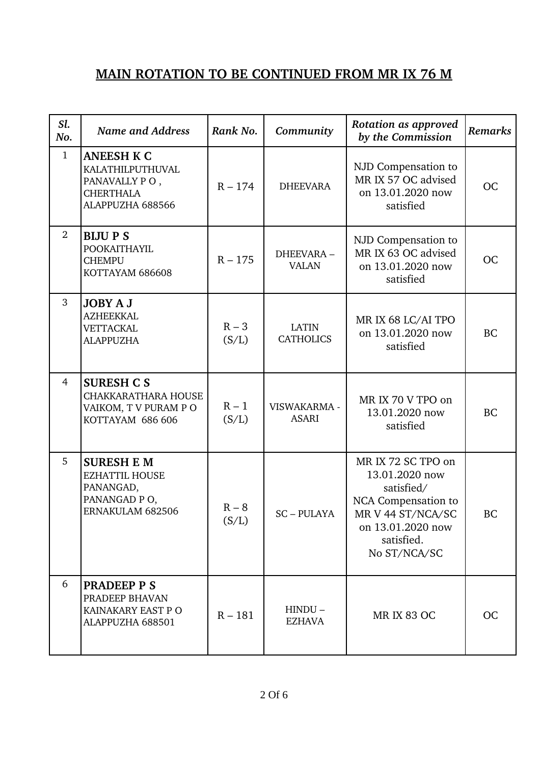## **MAIN ROTATION TO BE CONTINUED FROM MR IX 76 M**

| Sl.<br>No.   | <b>Name and Address</b>                                                                        | Rank No.         | Community                        | Rotation as approved<br>by the Commission                                                                                                         | <b>Remarks</b> |
|--------------|------------------------------------------------------------------------------------------------|------------------|----------------------------------|---------------------------------------------------------------------------------------------------------------------------------------------------|----------------|
| $\mathbf{1}$ | <b>ANEESH K C</b><br>KALATHILPUTHUVAL<br>PANAVALLY PO,<br><b>CHERTHALA</b><br>ALAPPUZHA 688566 | $R - 174$        | <b>DHEEVARA</b>                  | NJD Compensation to<br>MR IX 57 OC advised<br>on 13.01.2020 now<br>satisfied                                                                      | <b>OC</b>      |
| 2            | <b>BIJUPS</b><br>POOKAITHAYIL<br><b>CHEMPU</b><br>KOTTAYAM 686608                              | $R - 175$        | DHEEVARA-<br><b>VALAN</b>        | NJD Compensation to<br>MR IX 63 OC advised<br>on 13.01.2020 now<br>satisfied                                                                      | <b>OC</b>      |
| 3            | <b>JOBY A J</b><br><b>AZHEEKKAL</b><br><b>VETTACKAL</b><br><b>ALAPPUZHA</b>                    | $R - 3$<br>(S/L) | <b>LATIN</b><br><b>CATHOLICS</b> | MR IX 68 LC/AI TPO<br>on 13.01.2020 now<br>satisfied                                                                                              | <b>BC</b>      |
| 4            | <b>SURESH C S</b><br><b>CHAKKARATHARA HOUSE</b><br>VAIKOM, T V PURAM P O<br>KOTTAYAM 686 606   | $R - 1$<br>(S/L) | VISWAKARMA -<br><b>ASARI</b>     | MR IX 70 V TPO on<br>13.01.2020 now<br>satisfied                                                                                                  | <b>BC</b>      |
| 5            | <b>SURESH E M</b><br><b>EZHATTIL HOUSE</b><br>PANANGAD,<br>PANANGAD PO,<br>ERNAKULAM 682506    | $R - 8$<br>(S/L) | <b>SC-PULAYA</b>                 | MR IX 72 SC TPO on<br>13.01.2020 now<br>satisfied/<br>NCA Compensation to<br>MR V 44 ST/NCA/SC<br>on 13.01.2020 now<br>satisfied.<br>No ST/NCA/SC | <b>BC</b>      |
| 6            | <b>PRADEEP P S</b><br>PRADEEP BHAVAN<br>KAINAKARY EAST P O<br>ALAPPUZHA 688501                 | $R - 181$        | $HINDU -$<br><b>EZHAVA</b>       | <b>MR IX 83 OC</b>                                                                                                                                | <b>OC</b>      |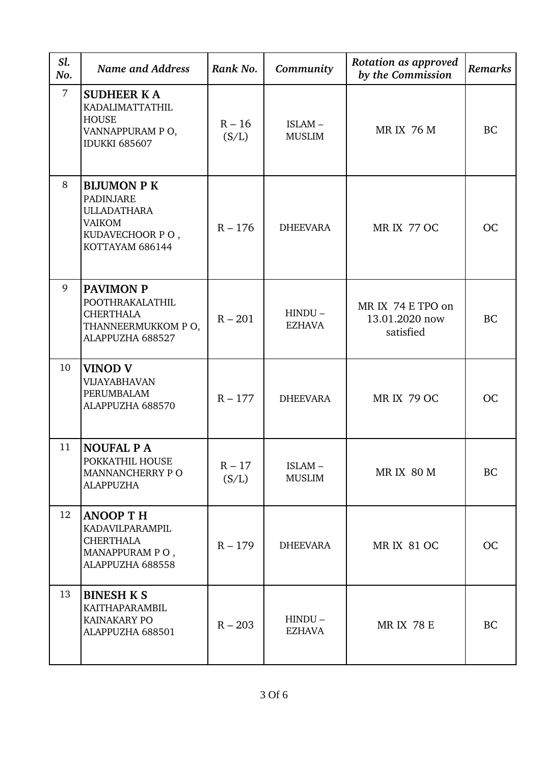| Sl.<br>No.     | <b>Name and Address</b>                                                                                             | Rank No.          | Community                  | Rotation as approved<br>by the Commission        | Remarks   |
|----------------|---------------------------------------------------------------------------------------------------------------------|-------------------|----------------------------|--------------------------------------------------|-----------|
| $\overline{7}$ | <b>SUDHEER KA</b><br>KADALIMATTATHIL<br><b>HOUSE</b><br>VANNAPPURAM PO,<br><b>IDUKKI 685607</b>                     | $R - 16$<br>(S/L) | ISLAM-<br><b>MUSLIM</b>    | <b>MRIX 76 M</b>                                 | <b>BC</b> |
| 8              | <b>BIJUMON P K</b><br><b>PADINJARE</b><br><b>ULLADATHARA</b><br><b>VAIKOM</b><br>KUDAVECHOOR PO,<br>KOTTAYAM 686144 | $R - 176$         | <b>DHEEVARA</b>            | <b>MR IX 77 OC</b>                               | <b>OC</b> |
| 9              | <b>PAVIMON P</b><br>POOTHRAKALATHIL<br><b>CHERTHALA</b><br>THANNEERMUKKOM PO,<br>ALAPPUZHA 688527                   | $R - 201$         | $HINDU -$<br><b>EZHAVA</b> | MR IX 74 E TPO on<br>13.01.2020 now<br>satisfied | <b>BC</b> |
| 10             | <b>VINOD V</b><br><b>VIJAYABHAVAN</b><br>PERUMBALAM<br>ALAPPUZHA 688570                                             | $R - 177$         | <b>DHEEVARA</b>            | <b>MR IX 79 OC</b>                               | <b>OC</b> |
| 11             | <b>NOUFAL PA</b><br>POKKATHIL HOUSE<br>MANNANCHERRY PO<br><b>ALAPPUZHA</b>                                          | $R - 17$<br>(S/L) | ISLAM-<br><b>MUSLIM</b>    | <b>MRIX 80 M</b>                                 | BC        |
| 12             | <b>ANOOP TH</b><br>KADAVILPARAMPIL<br><b>CHERTHALA</b><br>MANAPPURAM PO,<br>ALAPPUZHA 688558                        | $R - 179$         | <b>DHEEVARA</b>            | <b>MRIX 81 OC</b>                                | <b>OC</b> |
| 13             | <b>BINESH K S</b><br>KAITHAPARAMBIL<br>KAINAKARY PO<br>ALAPPUZHA 688501                                             | $R - 203$         | $HINDU -$<br>EZHAVA        | <b>MR IX 78 E</b>                                | <b>BC</b> |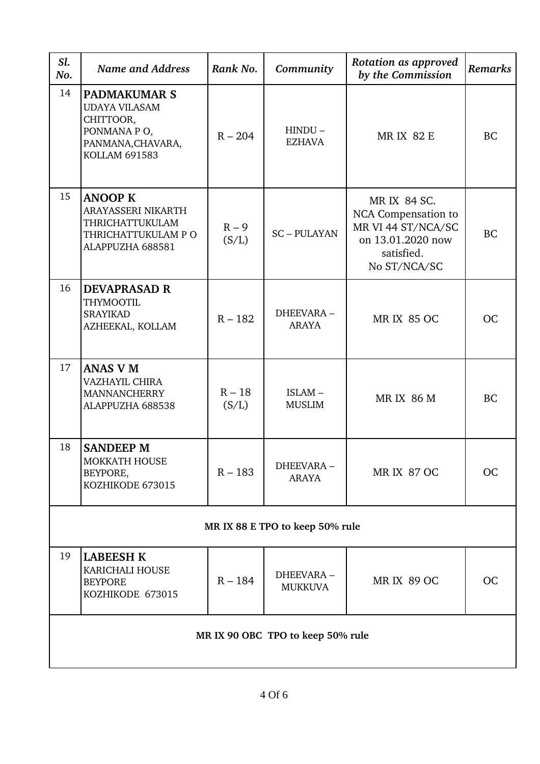| Sl.<br>No.                      | <b>Name and Address</b>                                                                                              | Rank No.          | Community                   | Rotation as approved<br>by the Commission                                                                    | <b>Remarks</b> |  |  |
|---------------------------------|----------------------------------------------------------------------------------------------------------------------|-------------------|-----------------------------|--------------------------------------------------------------------------------------------------------------|----------------|--|--|
| 14                              | <b>PADMAKUMAR S</b><br><b>UDAYA VILASAM</b><br>CHITTOOR,<br>PONMANA PO,<br>PANMANA, CHAVARA,<br><b>KOLLAM 691583</b> | $R - 204$         | $HINDU -$<br><b>EZHAVA</b>  | <b>MRIX 82 E</b>                                                                                             | <b>BC</b>      |  |  |
| 15                              | <b>ANOOP K</b><br>ARAYASSERI NIKARTH<br>THRICHATTUKULAM<br>THRICHATTUKULAM P O<br>ALAPPUZHA 688581                   | $R - 9$<br>(S/L)  | <b>SC-PULAYAN</b>           | MR IX 84 SC.<br>NCA Compensation to<br>MR VI 44 ST/NCA/SC<br>on 13.01.2020 now<br>satisfied.<br>No ST/NCA/SC | <b>BC</b>      |  |  |
| 16                              | <b>DEVAPRASAD R</b><br><b>THYMOOTIL</b><br><b>SRAYIKAD</b><br>AZHEEKAL, KOLLAM                                       | $R - 182$         | DHEEVARA-<br><b>ARAYA</b>   | <b>MR IX 85 OC</b>                                                                                           | <b>OC</b>      |  |  |
| 17                              | <b>ANAS V M</b><br>VAZHAYIL CHIRA<br><b>MANNANCHERRY</b><br>ALAPPUZHA 688538                                         | $R - 18$<br>(S/L) | ISLAM-<br><b>MUSLIM</b>     | <b>MRIX 86 M</b>                                                                                             | <b>BC</b>      |  |  |
| 18                              | <b>SANDEEP M</b><br>MOKKATH HOUSE<br>BEYPORE,<br>KOZHIKODE 673015                                                    | $R - 183$         | DHEEVARA-<br><b>ARAYA</b>   | <b>MR IX 87 OC</b>                                                                                           | <b>OC</b>      |  |  |
| MR IX 88 E TPO to keep 50% rule |                                                                                                                      |                   |                             |                                                                                                              |                |  |  |
| 19                              | <b>LABEESH K</b><br>KARICHALI HOUSE<br><b>BEYPORE</b><br>KOZHIKODE 673015                                            | $R - 184$         | DHEEVARA-<br><b>MUKKUVA</b> | <b>MR IX 89 OC</b>                                                                                           | <b>OC</b>      |  |  |
|                                 | MR IX 90 OBC TPO to keep 50% rule                                                                                    |                   |                             |                                                                                                              |                |  |  |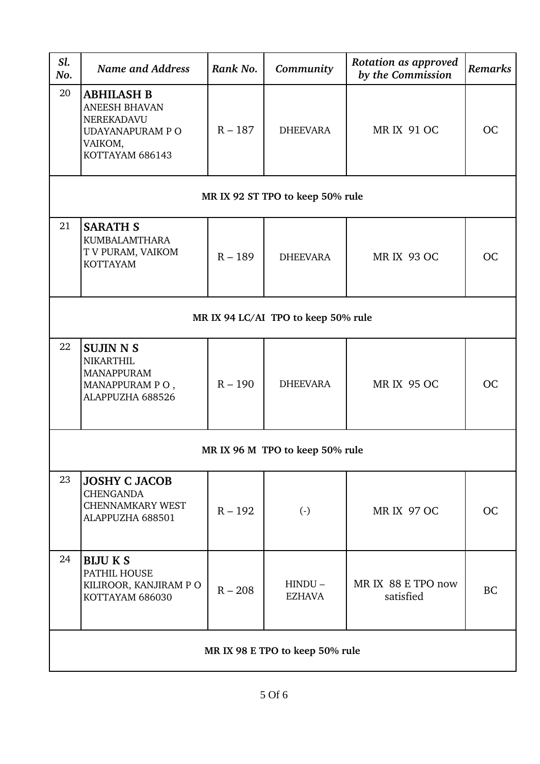| Sl.<br>No.                      | <b>Name and Address</b>                                                                                   | Rank No.  | Community                           | Rotation as approved<br>by the Commission    | Remarks   |  |
|---------------------------------|-----------------------------------------------------------------------------------------------------------|-----------|-------------------------------------|----------------------------------------------|-----------|--|
| 20                              | <b>ABHILASH B</b><br><b>ANEESH BHAVAN</b><br>NEREKADAVU<br>UDAYANAPURAM P O<br>VAIKOM,<br>KOTTAYAM 686143 | $R - 187$ | <b>DHEEVARA</b>                     | <b>MRIX 91 OC</b>                            | <b>OC</b> |  |
|                                 |                                                                                                           |           | MR IX 92 ST TPO to keep 50% rule    |                                              |           |  |
| 21                              | <b>SARATH S</b><br><b>KUMBALAMTHARA</b><br>T V PURAM, VAIKOM<br><b>KOTTAYAM</b>                           | $R - 189$ | <b>DHEEVARA</b>                     | <b>MRIX 93 OC</b>                            | <b>OC</b> |  |
|                                 |                                                                                                           |           | MR IX 94 LC/AI TPO to keep 50% rule |                                              |           |  |
| 22                              | <b>SUJIN N S</b><br><b>NIKARTHIL</b><br><b>MANAPPURAM</b><br>MANAPPURAM PO,<br>ALAPPUZHA 688526           | $R - 190$ | <b>DHEEVARA</b>                     | <b>MRIX 95 OC</b>                            | <b>OC</b> |  |
| MR IX 96 M TPO to keep 50% rule |                                                                                                           |           |                                     |                                              |           |  |
| 23                              | <b>JOSHY C JACOB</b><br><b>CHENGANDA</b><br><b>CHENNAMKARY WEST</b><br>ALAPPUZHA 688501                   | $R - 192$ | $\left( \cdot \right)$              | <b>MR IX 97 OC</b>                           | <b>OC</b> |  |
| 24                              | <b>BIJU K S</b><br>PATHIL HOUSE<br>KILIROOR, KANJIRAM PO<br>KOTTAYAM 686030                               | $R - 208$ | $HINDU -$<br><b>EZHAVA</b>          | MR IX 88 E TPO now<br><b>BC</b><br>satisfied |           |  |
| MR IX 98 E TPO to keep 50% rule |                                                                                                           |           |                                     |                                              |           |  |